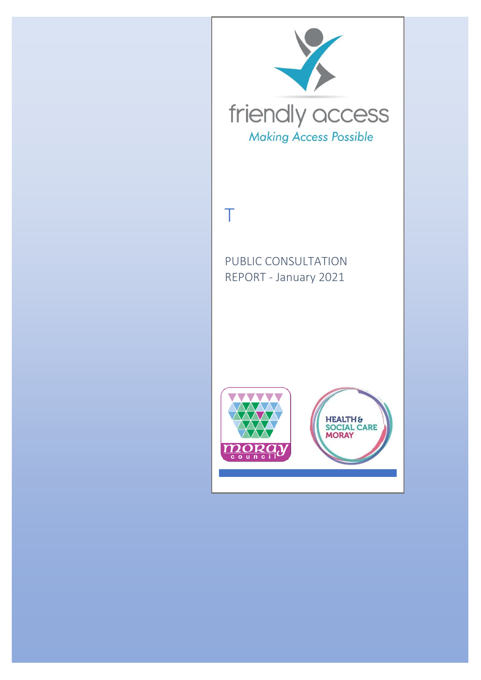

# T

PUBLIC CONSULTATION REPORT - January 2021

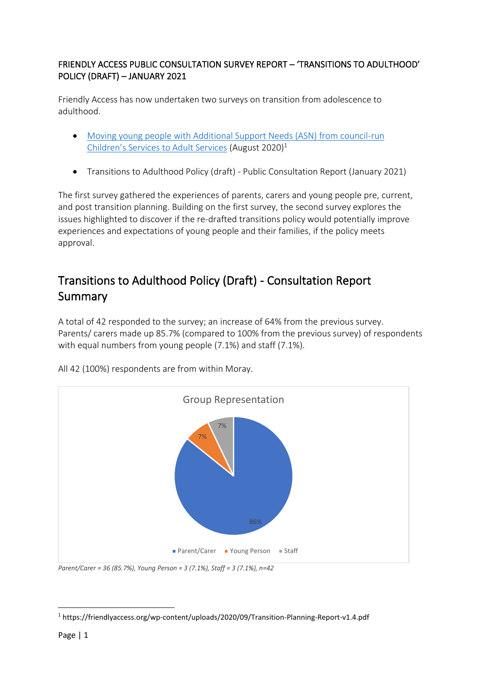#### FRIENDLY ACCESS PUBLIC CONSULTATION SURVEY REPORT – 'TRANSITIONS TO ADULTHOOD' POLICY (DRAFT) – JANUARY 2021

Friendly Access has now undertaken two surveys on transition from adolescence to adulthood.

- [Moving young people with Additional Support Needs \(ASN\) from council-run](https://friendlyaccess.org/wp-content/uploads/2020/09/Transition-Planning-Report-v1.4.pdf)  [Children's Services to Adult Services](https://friendlyaccess.org/wp-content/uploads/2020/09/Transition-Planning-Report-v1.4.pdf) (August 2020)<sup>1</sup>
- Transitions to Adulthood Policy (draft) Public Consultation Report (January 2021)

The first survey gathered the experiences of parents, carers and young people pre, current, and post transition planning. Building on the first survey, the second survey explores the issues highlighted to discover if the re-drafted transitions policy would potentially improve experiences and expectations of young people and their families, if the policy meets approval.

# Transitions to Adulthood Policy (Draft) - Consultation Report Summary

A total of 42 responded to the survey; an increase of 64% from the previous survey. Parents/ carers made up 85.7% (compared to 100% from the previous survey) of respondents with equal numbers from young people (7.1%) and staff (7.1%).



All 42 (100%) respondents are from within Moray.

*Parent/Carer = 36 (85.7%), Young Person = 3 (7.1%), Staff = 3 (7.1%), n=42*

<sup>1</sup> https://friendlyaccess.org/wp-content/uploads/2020/09/Transition-Planning-Report-v1.4.pdf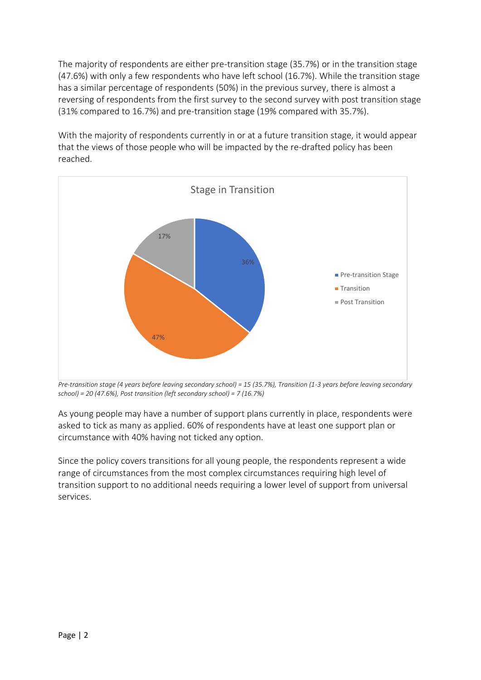The majority of respondents are either pre-transition stage (35.7%) or in the transition stage (47.6%) with only a few respondents who have left school (16.7%). While the transition stage has a similar percentage of respondents (50%) in the previous survey, there is almost a reversing of respondents from the first survey to the second survey with post transition stage (31% compared to 16.7%) and pre-transition stage (19% compared with 35.7%).

With the majority of respondents currently in or at a future transition stage, it would appear that the views of those people who will be impacted by the re-drafted policy has been reached.



*Pre-transition stage (4 years before leaving secondary school) = 15 (35.7%), Transition (1-3 years before leaving secondary school) = 20 (47.6%), Post transition (left secondary school) = 7 (16.7%)*

As young people may have a number of support plans currently in place, respondents were asked to tick as many as applied. 60% of respondents have at least one support plan or circumstance with 40% having not ticked any option.

Since the policy covers transitions for all young people, the respondents represent a wide range of circumstances from the most complex circumstances requiring high level of transition support to no additional needs requiring a lower level of support from universal services.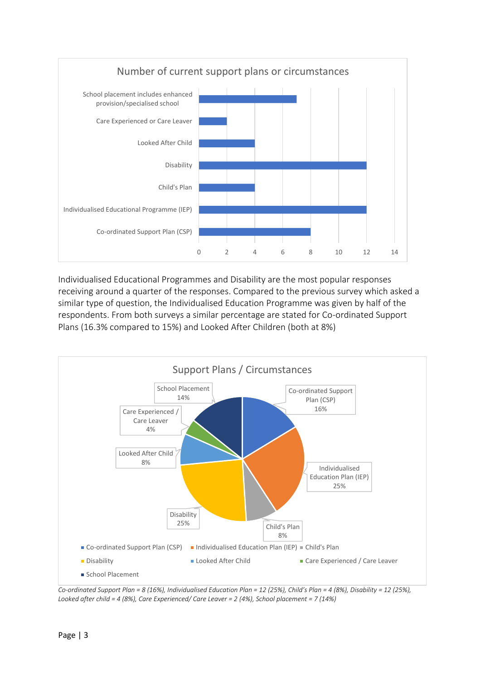

Individualised Educational Programmes and Disability are the most popular responses receiving around a quarter of the responses. Compared to the previous survey which asked a similar type of question, the Individualised Education Programme was given by half of the respondents. From both surveys a similar percentage are stated for Co-ordinated Support Plans (16.3% compared to 15%) and Looked After Children (both at 8%)



*Co-ordinated Support Plan = 8 (16%), Individualised Education Plan = 12 (25%), Child's Plan = 4 (8%), Disability = 12 (25%), Looked after child = 4 (8%), Care Experienced/ Care Leaver = 2 (4%), School placement = 7 (14%)*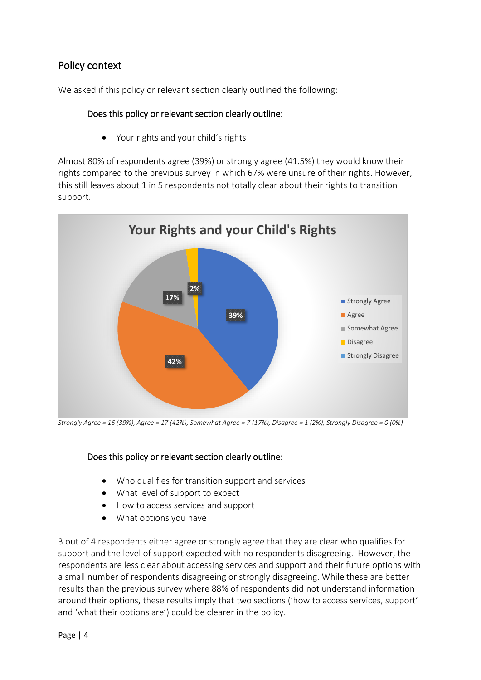## Policy context

We asked if this policy or relevant section clearly outlined the following:

#### Does this policy or relevant section clearly outline:

• Your rights and your child's rights

Almost 80% of respondents agree (39%) or strongly agree (41.5%) they would know their rights compared to the previous survey in which 67% were unsure of their rights. However, this still leaves about 1 in 5 respondents not totally clear about their rights to transition support.



*Strongly Agree = 16 (39%), Agree = 17 (42%), Somewhat Agree = 7 (17%), Disagree = 1 (2%), Strongly Disagree = 0 (0%)*

#### Does this policy or relevant section clearly outline:

- Who qualifies for transition support and services
- What level of support to expect
- How to access services and support
- What options you have

3 out of 4 respondents either agree or strongly agree that they are clear who qualifies for support and the level of support expected with no respondents disagreeing. However, the respondents are less clear about accessing services and support and their future options with a small number of respondents disagreeing or strongly disagreeing. While these are better results than the previous survey where 88% of respondents did not understand information around their options, these results imply that two sections ('how to access services, support' and 'what their options are') could be clearer in the policy.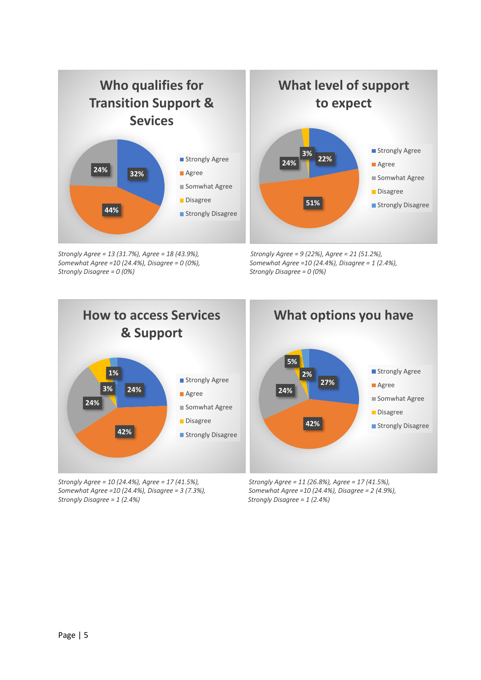

*Strongly Agree = 13 (31.7%), Agree = 18 (43.9%), Strongly Agree = 9 (22%), Agree = 21 (51.2%), Strongly Disagree = 0 (0%) Strongly Disagree = 0 (0%)*



*Somewhat Agree =10 (24.4%), Disagree = 0 (0%), Somewhat Agree =10 (24.4%), Disagree = 1 (2.4%),* 



*Strongly Agree = 10 (24.4%), Agree = 17 (41.5%), Strongly Agree = 11 (26.8%), Agree = 17 (41.5%), Strongly Disagree = 1 (2.4%)* 



**27%**

Strongly Agree

Somwhat Agree

Strongly Disagree

**Agree** 

**Disagree**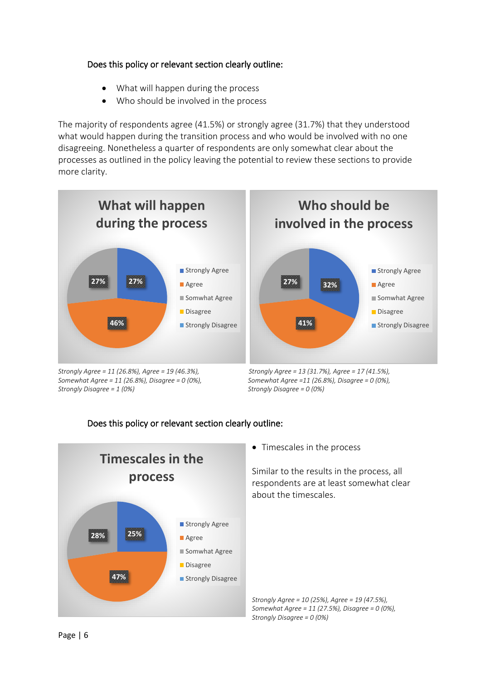#### Does this policy or relevant section clearly outline:

- What will happen during the process
- Who should be involved in the process

The majority of respondents agree (41.5%) or strongly agree (31.7%) that they understood what would happen during the transition process and who would be involved with no one disagreeing. Nonetheless a quarter of respondents are only somewhat clear about the processes as outlined in the policy leaving the potential to review these sections to provide more clarity.



*Strongly Agree = 11 (26.8%), Agree = 19 (46.3%), Strongly Agree = 13 (31.7%), Agree = 17 (41.5%), Somewhat Agree = 11 (26.8%), Disagree = 0 (0%), Somewhat Agree =11 (26.8%), Disagree = 0 (0%), Strongly Disagree = 1 (0%) Strongly Disagree = 0 (0%)*

#### Does this policy or relevant section clearly outline:



• Timescales in the process

Similar to the results in the process, all respondents are at least somewhat clear about the timescales.

*Strongly Agree = 10 (25%), Agree = 19 (47.5%), Somewhat Agree = 11 (27.5%), Disagree = 0 (0%), Strongly Disagree = 0 (0%)*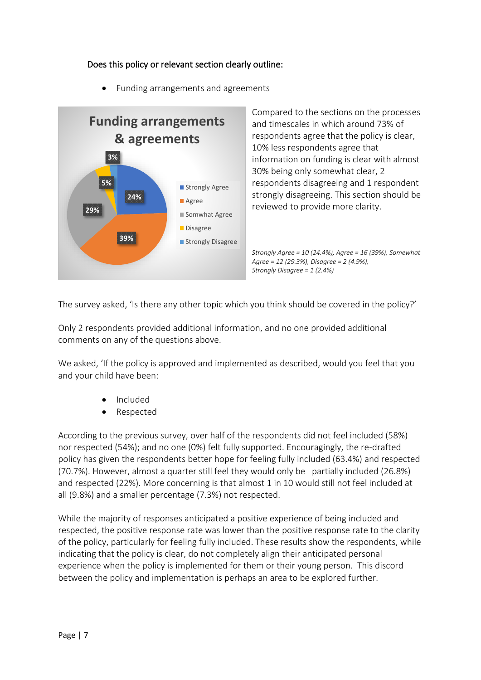#### Does this policy or relevant section clearly outline:



• Funding arrangements and agreements

Compared to the sections on the processes and timescales in which around 73% of respondents agree that the policy is clear, 10% less respondents agree that information on funding is clear with almost 30% being only somewhat clear, 2 respondents disagreeing and 1 respondent strongly disagreeing. This section should be reviewed to provide more clarity.

*Strongly Agree = 10 (24.4%), Agree = 16 (39%), Somewhat Agree = 12 (29.3%), Disagree = 2 (4.9%), Strongly Disagree = 1 (2.4%)* 

The survey asked, 'Is there any other topic which you think should be covered in the policy?'

Only 2 respondents provided additional information, and no one provided additional comments on any of the questions above.

We asked, 'If the policy is approved and implemented as described, would you feel that you and your child have been:

- Included
- Respected

According to the previous survey, over half of the respondents did not feel included (58%) nor respected (54%); and no one (0%) felt fully supported. Encouragingly, the re-drafted policy has given the respondents better hope for feeling fully included (63.4%) and respected (70.7%). However, almost a quarter still feel they would only be partially included (26.8%) and respected (22%). More concerning is that almost 1 in 10 would still not feel included at all (9.8%) and a smaller percentage (7.3%) not respected.

While the majority of responses anticipated a positive experience of being included and respected, the positive response rate was lower than the positive response rate to the clarity of the policy, particularly for feeling fully included. These results show the respondents, while indicating that the policy is clear, do not completely align their anticipated personal experience when the policy is implemented for them or their young person. This discord between the policy and implementation is perhaps an area to be explored further.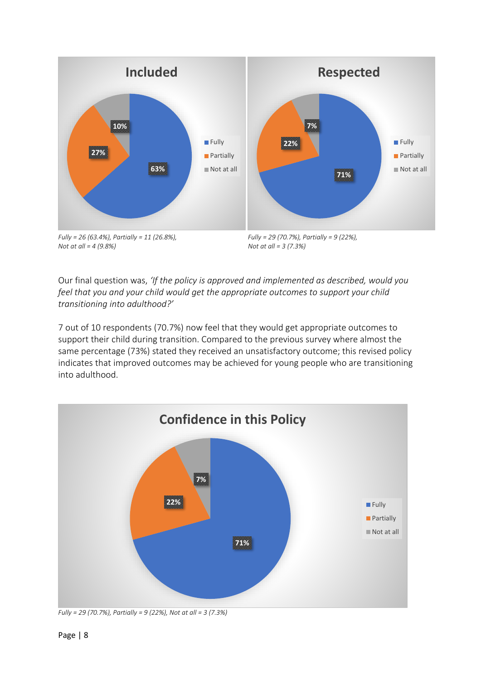

*Not at all = 4 (9.8%) Not at all = 3 (7.3%)* 

Our final question was, *'If the policy is approved and implemented as described, would you feel that you and your child would get the appropriate outcomes to support your child transitioning into adulthood?'*

7 out of 10 respondents (70.7%) now feel that they would get appropriate outcomes to support their child during transition. Compared to the previous survey where almost the same percentage (73%) stated they received an unsatisfactory outcome; this revised policy indicates that improved outcomes may be achieved for young people who are transitioning into adulthood.



*Fully = 29 (70.7%), Partially = 9 (22%), Not at all = 3 (7.3%)*